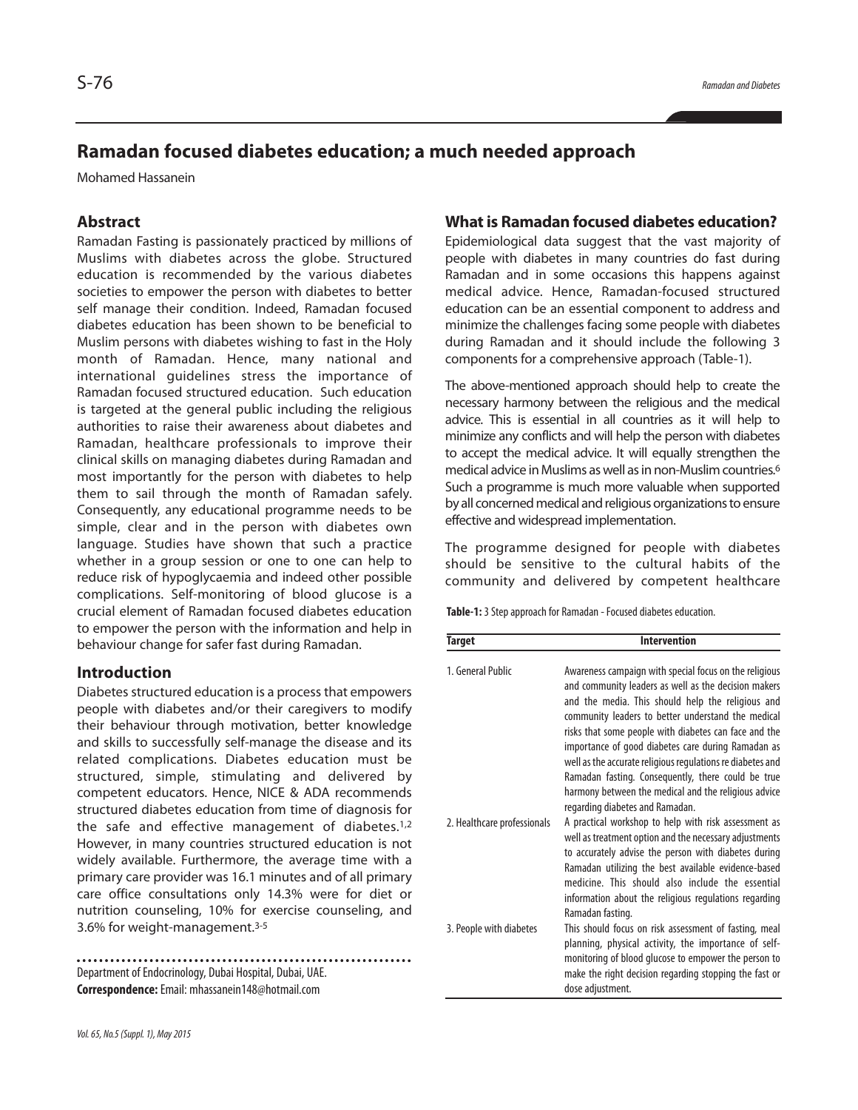# **Ramadan focused diabetes education; a much needed approach**

Mohamed Hassanein

## **Abstract**

Ramadan Fasting is passionately practiced by millions of Muslims with diabetes across the globe. Structured education is recommended by the various diabetes societies to empower the person with diabetes to better self manage their condition. Indeed, Ramadan focused diabetes education has been shown to be beneficial to Muslim persons with diabetes wishing to fast in the Holy month of Ramadan. Hence, many national and international guidelines stress the importance of Ramadan focused structured education. Such education is targeted at the general public including the religious authorities to raise their awareness about diabetes and Ramadan, healthcare professionals to improve their clinical skills on managing diabetes during Ramadan and most importantly for the person with diabetes to help them to sail through the month of Ramadan safely. Consequently, any educational programme needs to be simple, clear and in the person with diabetes own language. Studies have shown that such a practice whether in a group session or one to one can help to reduce risk of hypoglycaemia and indeed other possible complications. Self-monitoring of blood glucose is a crucial element of Ramadan focused diabetes education to empower the person with the information and help in behaviour change for safer fast during Ramadan.

### **Introduction**

Diabetes structured education is a process that empowers people with diabetes and/or their caregivers to modify their behaviour through motivation, better knowledge and skills to successfully self-manage the disease and its related complications. Diabetes education must be structured, simple, stimulating and delivered by competent educators. Hence, NICE & ADA recommends structured diabetes education from time of diagnosis for the safe and effective management of diabetes.<sup>1,2</sup> However, in many countries structured education is not widely available. Furthermore, the average time with a primary care provider was 16.1 minutes and of all primary care office consultations only 14.3% were for diet or nutrition counseling, 10% for exercise counseling, and 3.6% for weight-management. 3-5

Department of Endocrinology, Dubai Hospital, Dubai, UAE. **Correspondence:**Email: mhassanein148@hotmail.com

### **What is Ramadan focused diabetes education?**

Epidemiological data suggest that the vast majority of people with diabetes in many countries do fast during Ramadan and in some occasions this happens against medical advice. Hence, Ramadan-focused structured education can be an essential component to address and minimize the challenges facing some people with diabetes during Ramadan and it should include the following 3 components for a comprehensive approach (Table-1).

The above-mentioned approach should help to create the necessary harmony between the religious and the medical advice. This is essential in all countries as it will help to minimize any conflicts and will help the person with diabetes to accept the medical advice. It will equally strengthen the medical advice in Muslims as well as in non-Muslim countries.<sup>6</sup> Such a programme is much more valuable when supported by all concerned medical and religious organizations to ensure effective and widespread implementation.

The programme designed for people with diabetes should be sensitive to the cultural habits of the community and delivered by competent healthcare

Table-1: 3 Step approach for Ramadan - Focused diabetes education.

| Target                      | <b>Intervention</b>                                                                                                                                                                                                                                                                                                                                                                                                                                                                                                  |
|-----------------------------|----------------------------------------------------------------------------------------------------------------------------------------------------------------------------------------------------------------------------------------------------------------------------------------------------------------------------------------------------------------------------------------------------------------------------------------------------------------------------------------------------------------------|
| 1. General Public           | Awareness campaign with special focus on the religious<br>and community leaders as well as the decision makers<br>and the media. This should help the religious and<br>community leaders to better understand the medical<br>risks that some people with diabetes can face and the<br>importance of good diabetes care during Ramadan as<br>well as the accurate religious regulations re diabetes and<br>Ramadan fasting. Consequently, there could be true<br>harmony between the medical and the religious advice |
| 2. Healthcare professionals | regarding diabetes and Ramadan.<br>A practical workshop to help with risk assessment as<br>well as treatment option and the necessary adjustments<br>to accurately advise the person with diabetes during<br>Ramadan utilizing the best available evidence-based<br>medicine. This should also include the essential<br>information about the religious regulations regarding                                                                                                                                        |
| 3. People with diabetes     | Ramadan fasting.<br>This should focus on risk assessment of fasting, meal<br>planning, physical activity, the importance of self-<br>monitoring of blood glucose to empower the person to<br>make the right decision regarding stopping the fast or<br>dose adjustment.                                                                                                                                                                                                                                              |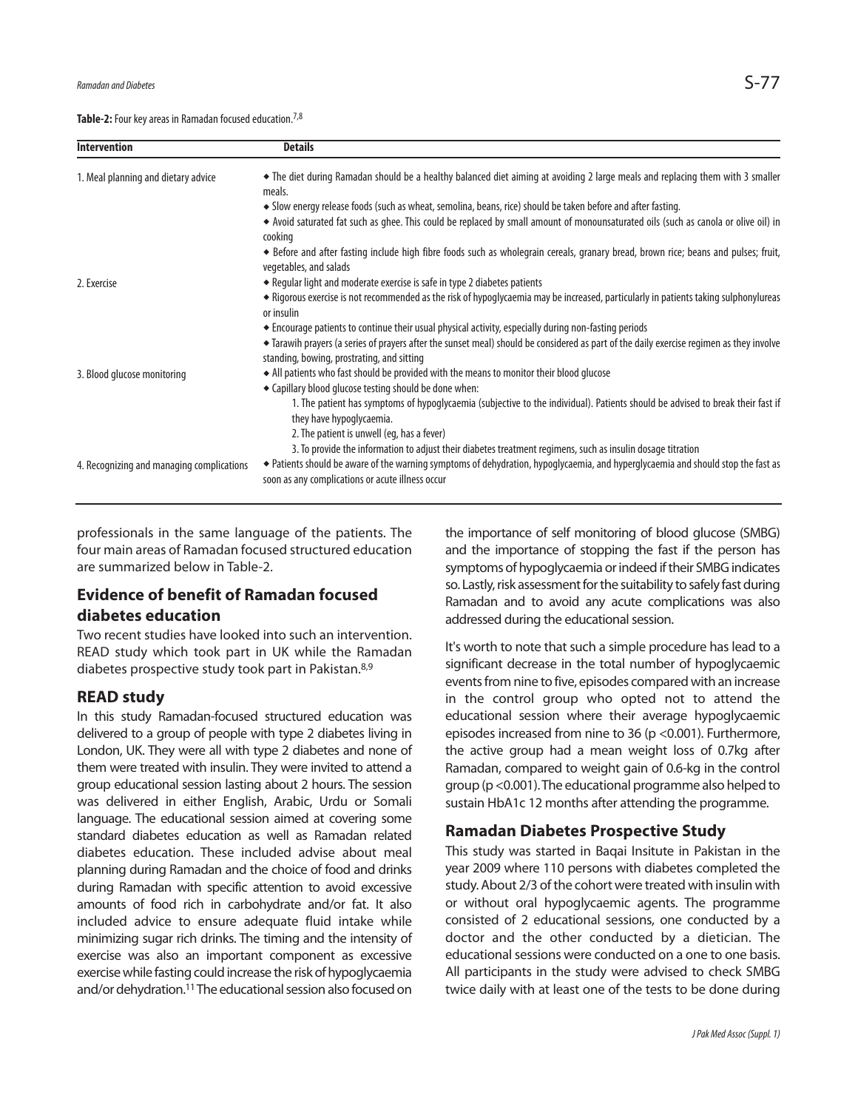Table-2: Four key areas in Ramadan focused education.<sup>7,8</sup>

| <b>Intervention</b>                       | <b>Details</b>                                                                                                                                                                                                                                    |
|-------------------------------------------|---------------------------------------------------------------------------------------------------------------------------------------------------------------------------------------------------------------------------------------------------|
| 1. Meal planning and dietary advice       | • The diet during Ramadan should be a healthy balanced diet aiming at avoiding 2 large meals and replacing them with 3 smaller<br>meals.                                                                                                          |
|                                           | • Slow energy release foods (such as wheat, semolina, beans, rice) should be taken before and after fasting.                                                                                                                                      |
|                                           | ◆ Avoid saturated fat such as ghee. This could be replaced by small amount of monounsaturated oils (such as canola or olive oil) in<br>cooking                                                                                                    |
|                                           | ◆ Before and after fasting include high fibre foods such as wholegrain cereals, granary bread, brown rice; beans and pulses; fruit,<br>vegetables, and salads                                                                                     |
| 2. Exercise                               | • Regular light and moderate exercise is safe in type 2 diabetes patients                                                                                                                                                                         |
|                                           | • Rigorous exercise is not recommended as the risk of hypoglycaemia may be increased, particularly in patients taking sulphonylureas<br>or insulin                                                                                                |
|                                           | ◆ Encourage patients to continue their usual physical activity, especially during non-fasting periods<br>• Tarawih prayers (a series of prayers after the sunset meal) should be considered as part of the daily exercise regimen as they involve |
|                                           | standing, bowing, prostrating, and sitting                                                                                                                                                                                                        |
| 3. Blood glucose monitoring               | • All patients who fast should be provided with the means to monitor their blood glucose                                                                                                                                                          |
|                                           | • Capillary blood glucose testing should be done when:                                                                                                                                                                                            |
|                                           | 1. The patient has symptoms of hypoglycaemia (subjective to the individual). Patients should be advised to break their fast if<br>they have hypoglycaemia.                                                                                        |
|                                           | 2. The patient is unwell (eq, has a fever)                                                                                                                                                                                                        |
|                                           | 3. To provide the information to adjust their diabetes treatment regimens, such as insulin dosage titration                                                                                                                                       |
| 4. Recognizing and managing complications | • Patients should be aware of the warning symptoms of dehydration, hypoglycaemia, and hyperglycaemia and should stop the fast as<br>soon as any complications or acute illness occur                                                              |
|                                           |                                                                                                                                                                                                                                                   |

professionals in the same language of the patients. The four main areas of Ramadan focused structured education are summarized below in Table-2.

## **Evidence of benefit of Ramadan focused diabetes education**

Two recent studies have looked into such an intervention. READ study which took part in UK while the Ramadan diabetes prospective study took part in Pakistan.<sup>8,9</sup>

### **READ study**

In this study Ramadan-focused structured education was delivered to a group of people with type 2 diabetes living in London, UK. They were all with type 2 diabetes and none of them were treated with insulin. They were invited to attend a group educational session lasting about 2 hours. The session was delivered in either English, Arabic, Urdu or Somali language. The educational session aimed at covering some standard diabetes education as well as Ramadan related diabetes education. These included advise about meal planning during Ramadan and the choice of food and drinks during Ramadan with specific attention to avoid excessive amounts of food rich in carbohydrate and/or fat. It also included advice to ensure adequate fluid intake while minimizing sugar rich drinks. The timing and the intensity of exercise was also an important component as excessive exercise while fasting could increase the risk of hypoglycaemia and/or dehydration.<sup>11</sup> The educational session also focused on

the importance of self monitoring of blood glucose (SMBG) and the importance of stopping the fast if the person has symptoms of hypoglycaemia or indeed if their SMBG indicates so. Lastly, risk assessment for the suitability to safely fast during Ramadan and to avoid any acute complications was also addressed during the educational session.

It's worth to note that such a simple procedure has lead to a significant decrease in the total number of hypoglycaemic events from nine to five, episodes compared with an increase in the control group who opted not to attend the educational session where their average hypoglycaemic episodes increased from nine to 36 (p <0.001). Furthermore, the active group had a mean weight loss of 0.7kg after Ramadan, compared to weight gain of 0.6-kg in the control group (p<0.001).The educational programme also helped to sustain HbA1c 12 months after attending the programme.

## **Ramadan Diabetes Prospective Study**

This study was started in Baqai Insitute in Pakistan in the year 2009 where 110 persons with diabetes completed the study. About 2/3 of the cohort were treated with insulin with or without oral hypoglycaemic agents. The programme consisted of 2 educational sessions, one conducted by a doctor and the other conducted by a dietician. The educational sessions were conducted on a one to one basis. All participants in the study were advised to check SMBG twice daily with at least one of the tests to be done during